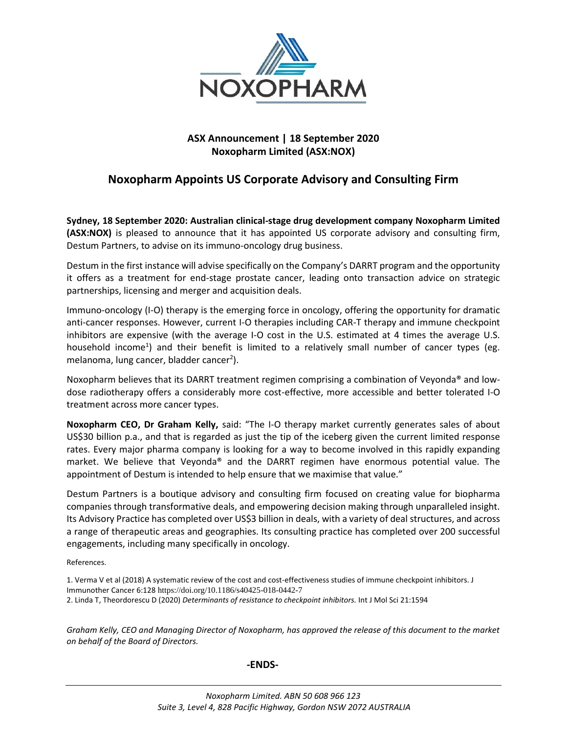

## **ASX Announcement | 18 September 2020 Noxopharm Limited (ASX:NOX)**

# **Noxopharm Appoints US Corporate Advisory and Consulting Firm**

**Sydney, 18 September 2020: Australian clinical-stage drug development company Noxopharm Limited (ASX:NOX)** is pleased to announce that it has appointed US corporate advisory and consulting firm, Destum Partners, to advise on its immuno-oncology drug business.

Destum in the first instance will advise specifically on the Company's DARRT program and the opportunity it offers as a treatment for end-stage prostate cancer, leading onto transaction advice on strategic partnerships, licensing and merger and acquisition deals.

Immuno-oncology (I-O) therapy is the emerging force in oncology, offering the opportunity for dramatic anti-cancer responses. However, current I-O therapies including CAR-T therapy and immune checkpoint inhibitors are expensive (with the average I-O cost in the U.S. estimated at 4 times the average U.S. household income<sup>1</sup>) and their benefit is limited to a relatively small number of cancer types (eg. melanoma, lung cancer, bladder cancer<sup>2</sup>).

Noxopharm believes that its DARRT treatment regimen comprising a combination of Veyonda® and lowdose radiotherapy offers a considerably more cost-effective, more accessible and better tolerated I-O treatment across more cancer types.

**Noxopharm CEO, Dr Graham Kelly,** said: "The I-O therapy market currently generates sales of about US\$30 billion p.a., and that is regarded as just the tip of the iceberg given the current limited response rates. Every major pharma company is looking for a way to become involved in this rapidly expanding market. We believe that Veyonda® and the DARRT regimen have enormous potential value. The appointment of Destum is intended to help ensure that we maximise that value."

Destum Partners is a boutique advisory and consulting firm focused on creating value for biopharma companies through transformative deals, and empowering decision making through unparalleled insight. Its Advisory Practice has completed over US\$3 billion in deals, with a variety of deal structures, and across a range of therapeutic areas and geographies. Its consulting practice has completed over 200 successful engagements, including many specifically in oncology.

References.

1. Verma V et al (2018) A systematic review of the cost and cost-effectiveness studies of immune checkpoint inhibitors. J Immunother Cancer 6:128 https://doi.org/10.1186/s40425-018-0442-7 2. Linda T, Theordorescu D (2020) *Determinants of resistance to checkpoint inhibitors.* Int J Mol Sci 21:1594

*Graham Kelly, CEO and Managing Director of Noxopharm, has approved the release of this document to the market on behalf of the Board of Directors.*

## **-ENDS-**